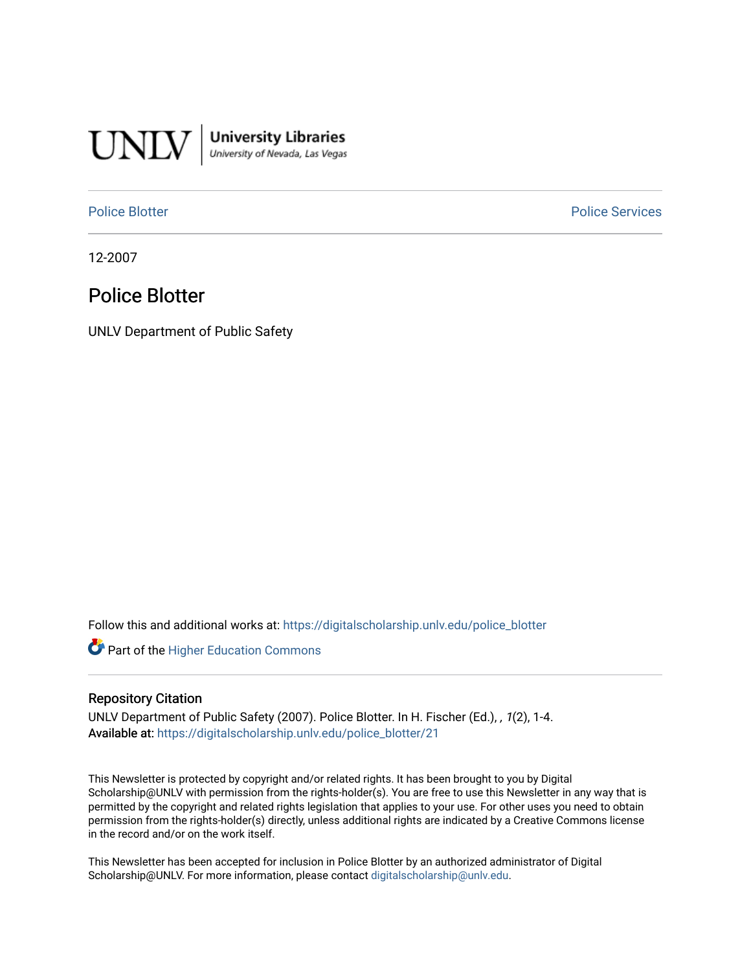

**University Libraries**<br>University of Nevada, Las Vegas

[Police Blotter](https://digitalscholarship.unlv.edu/police_blotter) **Police Services Police Services** 

12-2007

### Police Blotter

UNLV Department of Public Safety

Follow this and additional works at: [https://digitalscholarship.unlv.edu/police\\_blotter](https://digitalscholarship.unlv.edu/police_blotter?utm_source=digitalscholarship.unlv.edu%2Fpolice_blotter%2F21&utm_medium=PDF&utm_campaign=PDFCoverPages) 

**Part of the Higher Education Commons** 

#### Repository Citation

UNLV Department of Public Safety (2007). Police Blotter. In H. Fischer (Ed.), , 1(2), 1-4. Available at: [https://digitalscholarship.unlv.edu/police\\_blotter/21](https://digitalscholarship.unlv.edu/police_blotter/21)

This Newsletter is protected by copyright and/or related rights. It has been brought to you by Digital Scholarship@UNLV with permission from the rights-holder(s). You are free to use this Newsletter in any way that is permitted by the copyright and related rights legislation that applies to your use. For other uses you need to obtain permission from the rights-holder(s) directly, unless additional rights are indicated by a Creative Commons license in the record and/or on the work itself.

This Newsletter has been accepted for inclusion in Police Blotter by an authorized administrator of Digital Scholarship@UNLV. For more information, please contact [digitalscholarship@unlv.edu.](mailto:digitalscholarship@unlv.edu)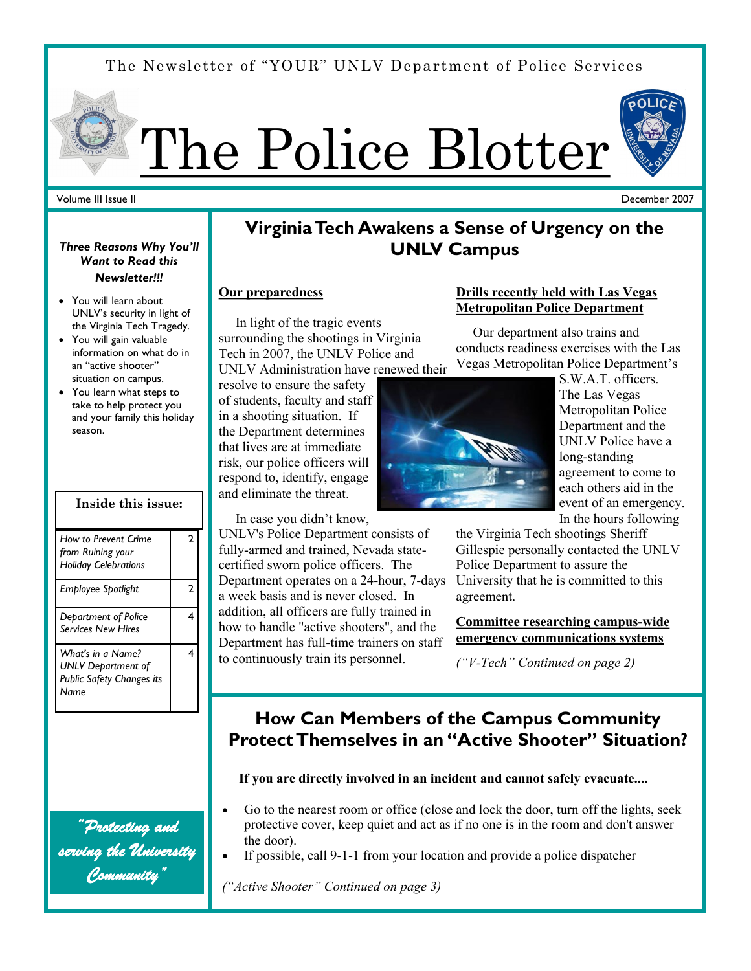# The Newsletter of "YOUR" UNLV Department of Police Services



#### Volume III Issue II

#### December 2007

### *Three Reasons Why You'll Want to Read this*

#### *Newsletter!!!*

- You will learn about UNLV's security in light of the Virginia Tech Tragedy.
- You will gain valuable information on what do in an "active shooter" situation on campus.
- You learn what steps to take to help protect you and your family this holiday season.

| Inside this issue:                                                                  |   |
|-------------------------------------------------------------------------------------|---|
| How to Prevent Crime<br>from Ruining your<br><b>Holiday Celebrations</b>            | 2 |
| Employee Spotlight                                                                  | 2 |
| Department of Police<br><b>Services New Hires</b>                                   | 4 |
| What's in a Name?<br><b>UNLV Department of</b><br>Public Safety Changes its<br>Name | 4 |

*"Protecting and serving the University Community"* 

### **Virginia Tech Awakens a Sense of Urgency on the UNLV Campus**

#### **Our preparedness**

 In light of the tragic events surrounding the shootings in Virginia Tech in 2007, the UNLV Police and

UNLV Administration have renewed their resolve to ensure the safety of students, faculty and staff in a shooting situation. If the Department determines that lives are at immediate risk, our police officers will respond to, identify, engage and eliminate the threat.

In case you didn't know,

UNLV's Police Department consists of fully-armed and trained, Nevada statecertified sworn police officers. The Department operates on a 24-hour, 7-days a week basis and is never closed. In addition, all officers are fully trained in how to handle "active shooters", and the Department has full-time trainers on staff to continuously train its personnel.

#### **Drills recently held with Las Vegas Metropolitan Police Department**

 Our department also trains and conducts readiness exercises with the Las Vegas Metropolitan Police Department's



S.W.A.T. officers. The Las Vegas Metropolitan Police Department and the UNLV Police have a long-standing agreement to come to each others aid in the event of an emergency. In the hours following

the Virginia Tech shootings Sheriff Gillespie personally contacted the UNLV Police Department to assure the University that he is committed to this agreement.

**Committee researching campus-wide emergency communications systems**

*("V-Tech" Continued on page 2)*

## **How Can Members of the Campus Community Protect Themselves in an "Active Shooter" Situation?**

#### **If you are directly involved in an incident and cannot safely evacuate....**

- Go to the nearest room or office (close and lock the door, turn off the lights, seek protective cover, keep quiet and act as if no one is in the room and don't answer the door).
- If possible, call 9-1-1 from your location and provide a police dispatcher

*("Active Shooter" Continued on page 3)*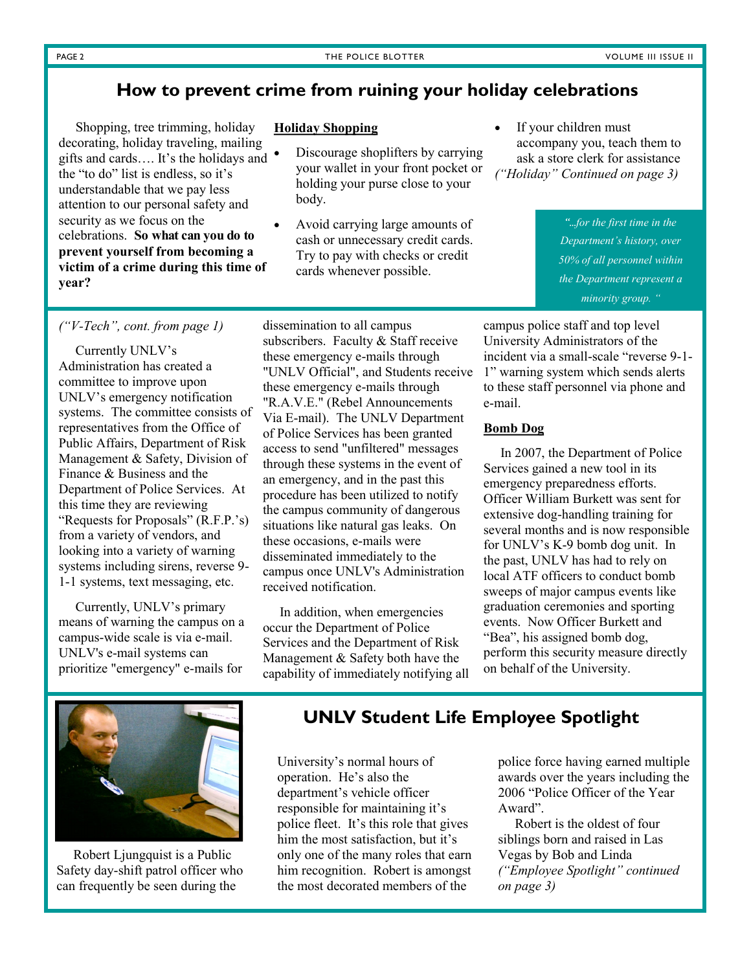### **How to prevent crime from ruining your holiday celebrations**

 Shopping, tree trimming, holiday decorating, holiday traveling, mailing gifts and cards…. It's the holidays and the "to do" list is endless, so it's understandable that we pay less attention to our personal safety and security as we focus on the celebrations. **So what can you do to prevent yourself from becoming a victim of a crime during this time of year?**

#### **Holiday Shopping**

- Discourage shoplifters by carrying your wallet in your front pocket or holding your purse close to your body.
- Avoid carrying large amounts of cash or unnecessary credit cards. Try to pay with checks or credit cards whenever possible.
- If your children must accompany you, teach them to ask a store clerk for assistance *("Holiday" Continued on page 3)*

*"...for the first time in the Department's history, over 50% of all personnel within the Department represent a minority group. "*

*("V-Tech", cont. from page 1)*

 Currently UNLV's Administration has created a committee to improve upon UNLV's emergency notification systems. The committee consists of representatives from the Office of Public Affairs, Department of Risk Management & Safety, Division of Finance & Business and the Department of Police Services. At this time they are reviewing "Requests for Proposals" (R.F.P.'s) from a variety of vendors, and looking into a variety of warning systems including sirens, reverse 9- 1-1 systems, text messaging, etc.

 Currently, UNLV's primary means of warning the campus on a campus-wide scale is via e-mail. UNLV's e-mail systems can prioritize "emergency" e-mails for

dissemination to all campus subscribers. Faculty & Staff receive these emergency e-mails through "UNLV Official", and Students receive these emergency e-mails through "R.A.V.E." (Rebel Announcements Via E-mail). The UNLV Department of Police Services has been granted access to send "unfiltered" messages through these systems in the event of an emergency, and in the past this procedure has been utilized to notify the campus community of dangerous situations like natural gas leaks. On these occasions, e-mails were disseminated immediately to the campus once UNLV's Administration received notification.

 In addition, when emergencies occur the Department of Police Services and the Department of Risk Management & Safety both have the capability of immediately notifying all

campus police staff and top level University Administrators of the incident via a small-scale "reverse 9-1- 1" warning system which sends alerts to these staff personnel via phone and e-mail.

#### **Bomb Dog**

 In 2007, the Department of Police Services gained a new tool in its emergency preparedness efforts. Officer William Burkett was sent for extensive dog-handling training for several months and is now responsible for UNLV's K-9 bomb dog unit. In the past, UNLV has had to rely on local ATF officers to conduct bomb sweeps of major campus events like graduation ceremonies and sporting events. Now Officer Burkett and "Bea", his assigned bomb dog, perform this security measure directly on behalf of the University.



 Robert Ljungquist is a Public Safety day-shift patrol officer who can frequently be seen during the

### **UNLV Student Life Employee Spotlight**

University's normal hours of operation. He's also the department's vehicle officer responsible for maintaining it's police fleet. It's this role that gives him the most satisfaction, but it's only one of the many roles that earn him recognition. Robert is amongst the most decorated members of the

police force having earned multiple awards over the years including the 2006 "Police Officer of the Year Award".

 Robert is the oldest of four siblings born and raised in Las Vegas by Bob and Linda *("Employee Spotlight" continued on page 3)*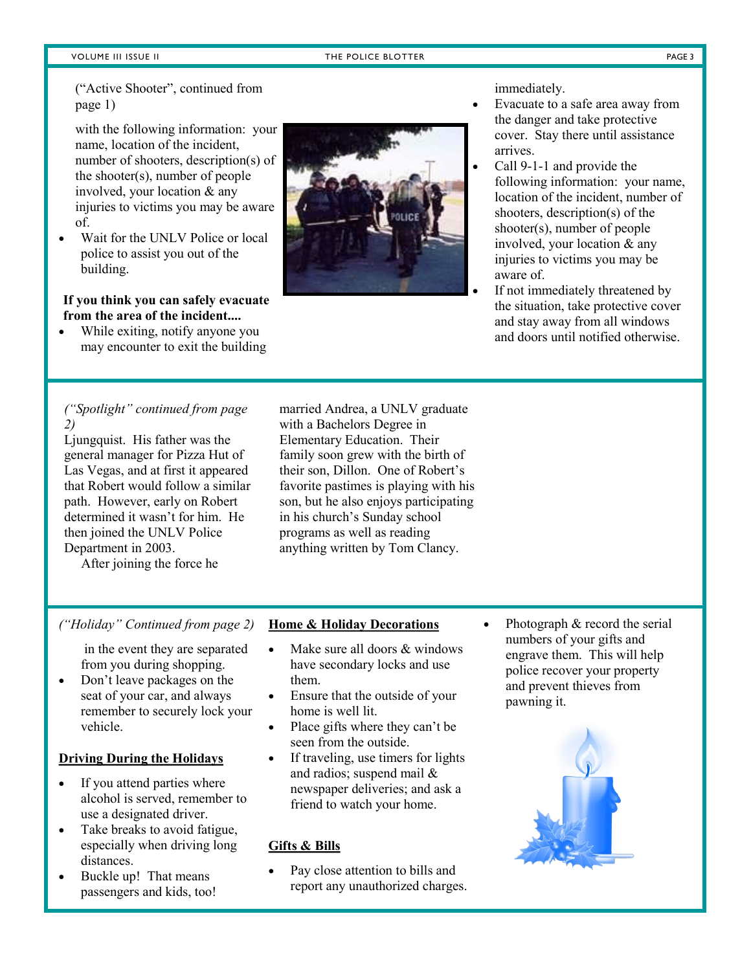#### VOLUME III ISSUE II THE POLICE BLOTTER THE POLICE BLOTTER THE PAGE 3

("Active Shooter", continued from page 1)

with the following information: your name, location of the incident, number of shooters, description(s) of the shooter(s), number of people involved, your location & any injuries to victims you may be aware of.

 Wait for the UNLV Police or local police to assist you out of the building.

#### **If you think you can safely evacuate from the area of the incident....**

 While exiting, notify anyone you may encounter to exit the building



immediately.

- Evacuate to a safe area away from the danger and take protective cover. Stay there until assistance arrives.
- Call 9-1-1 and provide the following information: your name, location of the incident, number of shooters, description(s) of the shooter(s), number of people involved, your location & any injuries to victims you may be aware of.
- If not immediately threatened by the situation, take protective cover and stay away from all windows and doors until notified otherwise.

#### *("Spotlight" continued from page 2)*

Ljungquist. His father was the general manager for Pizza Hut of Las Vegas, and at first it appeared that Robert would follow a similar path. However, early on Robert determined it wasn't for him. He then joined the UNLV Police Department in 2003.

After joining the force he

married Andrea, a UNLV graduate with a Bachelors Degree in Elementary Education. Their family soon grew with the birth of their son, Dillon. One of Robert's favorite pastimes is playing with his son, but he also enjoys participating in his church's Sunday school programs as well as reading anything written by Tom Clancy.

#### *("Holiday" Continued from page 2)*

in the event they are separated from you during shopping.

 Don't leave packages on the seat of your car, and always remember to securely lock your vehicle.

#### **Driving During the Holidays**

- If you attend parties where alcohol is served, remember to use a designated driver.
- Take breaks to avoid fatigue, especially when driving long distances.
- Buckle up! That means passengers and kids, too!

#### **Home & Holiday Decorations**

- Make sure all doors & windows have secondary locks and use them.
- Ensure that the outside of your home is well lit.
- Place gifts where they can't be seen from the outside.
- If traveling, use timers for lights and radios; suspend mail & newspaper deliveries; and ask a friend to watch your home.

#### **Gifts & Bills**

 Pay close attention to bills and report any unauthorized charges.  Photograph & record the serial numbers of your gifts and engrave them. This will help police recover your property and prevent thieves from pawning it.